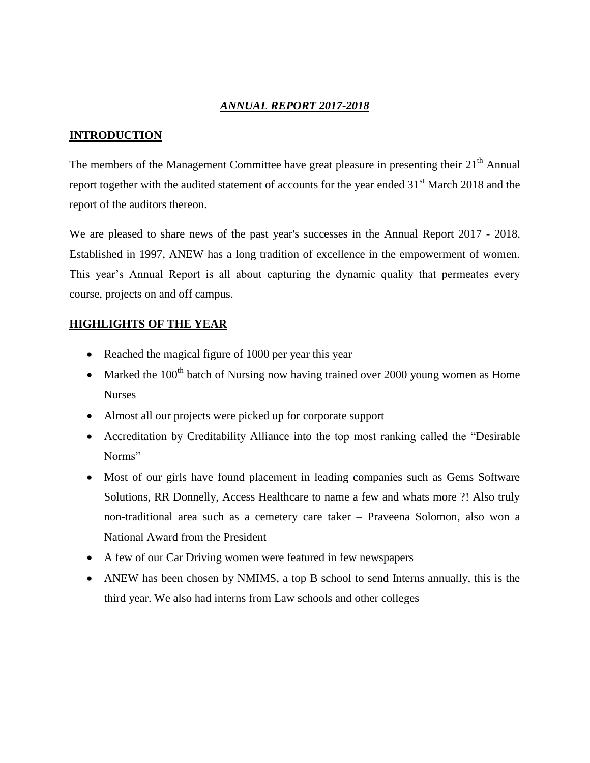## *ANNUAL REPORT 2017-2018*

## **INTRODUCTION**

The members of the Management Committee have great pleasure in presenting their  $21<sup>th</sup>$  Annual report together with the audited statement of accounts for the year ended 31<sup>st</sup> March 2018 and the report of the auditors thereon.

We are pleased to share news of the past year's successes in the Annual Report 2017 - 2018. Established in 1997, ANEW has a long tradition of excellence in the empowerment of women. This year's Annual Report is all about capturing the dynamic quality that permeates every course, projects on and off campus.

## **HIGHLIGHTS OF THE YEAR**

- Reached the magical figure of 1000 per year this year
- Marked the 100<sup>th</sup> batch of Nursing now having trained over 2000 young women as Home Nurses
- Almost all our projects were picked up for corporate support
- Accreditation by Creditability Alliance into the top most ranking called the "Desirable Norms"
- Most of our girls have found placement in leading companies such as Gems Software Solutions, RR Donnelly, Access Healthcare to name a few and whats more ?! Also truly non-traditional area such as a cemetery care taker – Praveena Solomon, also won a National Award from the President
- A few of our Car Driving women were featured in few newspapers
- ANEW has been chosen by NMIMS, a top B school to send Interns annually, this is the third year. We also had interns from Law schools and other colleges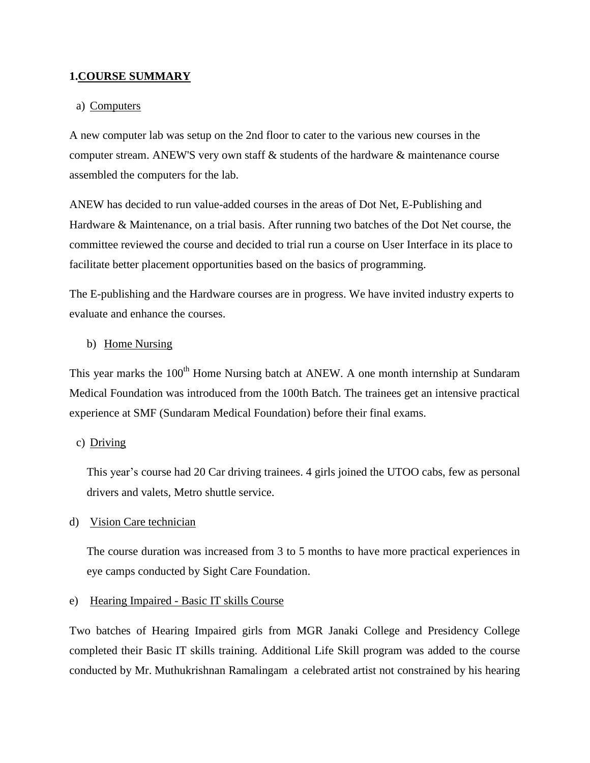#### **1.COURSE SUMMARY**

#### a) Computers

A new computer lab was setup on the 2nd floor to cater to the various new courses in the computer stream. ANEW'S very own staff & students of the hardware & maintenance course assembled the computers for the lab.

ANEW has decided to run value-added courses in the areas of Dot Net, E-Publishing and Hardware & Maintenance, on a trial basis. After running two batches of the Dot Net course, the committee reviewed the course and decided to trial run a course on User Interface in its place to facilitate better placement opportunities based on the basics of programming.

The E-publishing and the Hardware courses are in progress. We have invited industry experts to evaluate and enhance the courses.

#### b) Home Nursing

This year marks the 100<sup>th</sup> Home Nursing batch at ANEW. A one month internship at Sundaram Medical Foundation was introduced from the 100th Batch. The trainees get an intensive practical experience at SMF (Sundaram Medical Foundation) before their final exams.

#### c) Driving

This year's course had 20 Car driving trainees. 4 girls joined the UTOO cabs, few as personal drivers and valets, Metro shuttle service.

#### d) Vision Care technician

The course duration was increased from 3 to 5 months to have more practical experiences in eye camps conducted by Sight Care Foundation.

#### e) Hearing Impaired - Basic IT skills Course

Two batches of Hearing Impaired girls from MGR Janaki College and Presidency College completed their Basic IT skills training. Additional Life Skill program was added to the course conducted by Mr. [Muthukrishnan Ramalingam](https://www.facebook.com/muthukrishnan.ramalingam) a celebrated artist not constrained by his hearing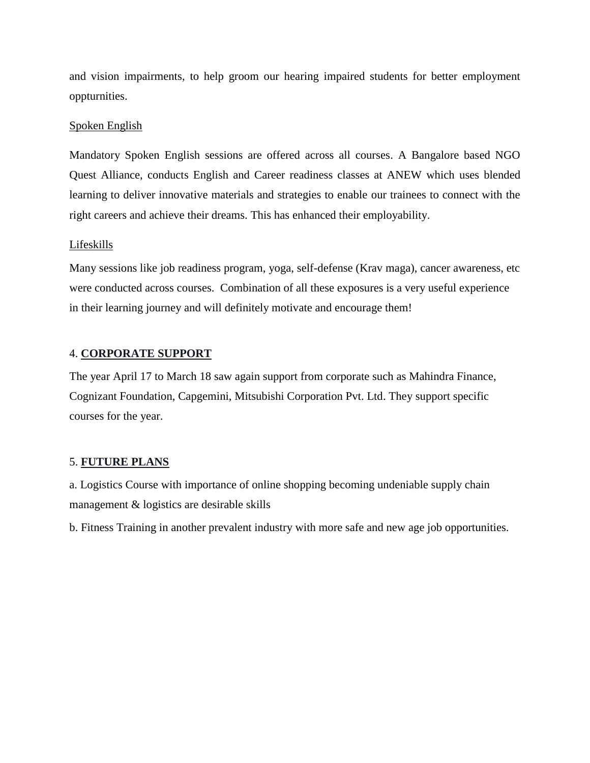and vision impairments, to help groom our hearing impaired students for better employment oppturnities.

## Spoken English

Mandatory Spoken English sessions are offered across all courses. A Bangalore based NGO Quest Alliance, conducts English and Career readiness classes at ANEW which uses blended learning to deliver innovative materials and strategies to enable our trainees to connect with the right careers and achieve their dreams. This has enhanced their employability.

## Lifeskills

Many sessions like job readiness program, yoga, self-defense (Krav maga), cancer awareness, etc were conducted across courses. Combination of all these exposures is a very useful experience in their learning journey and will definitely motivate and encourage them!

## 4. **CORPORATE SUPPORT**

The year April 17 to March 18 saw again support from corporate such as Mahindra Finance, Cognizant Foundation, Capgemini, Mitsubishi Corporation Pvt. Ltd. They support specific courses for the year.

## 5. **FUTURE PLANS**

a. Logistics Course with importance of online shopping becoming undeniable supply chain management & logistics are desirable skills

b. Fitness Training in another prevalent industry with more safe and new age job opportunities.